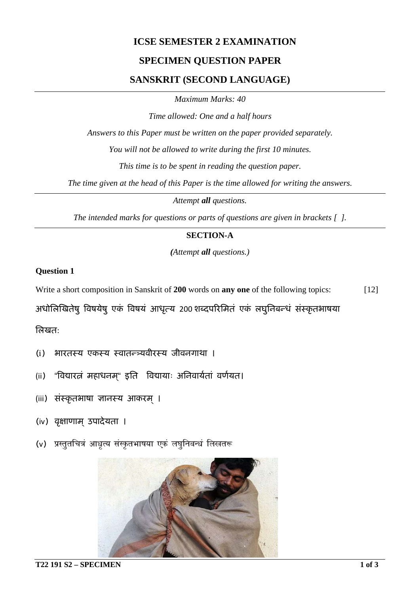# **ICSE SEMESTER 2 EXAMINATION**

## **SPECIMEN QUESTION PAPER**

### **SANSKRIT (SECOND LANGUAGE)**

*Maximum Marks: 40*

*Time allowed: One and a half hours*

*Answers to this Paper must be written on the paper provided separately.*

*You will not be allowed to write during the first 10 minutes.*

*This time is to be spent in reading the question paper.*

*The time given at the head of this Paper is the time allowed for writing the answers.*

*Attempt all questions.*

*The intended marks for questions or parts of questions are given in brackets [ ].*

#### **SECTION-A**

*(Attempt all questions.)*

#### **Question 1**

Write a short composition in Sanskrit of **200** words on **any one** of the following topics: [12]

अधोलिखितेषु विषयेषु एकं विषयं आधृत्य 200 शब्दपरिमितं एकं लघुनिबन्धं संस्कृतभाषया

िलखत:

- (i) भारतस्य एकस्य स्वातन्�यवीरस्य जीवनगाथा ।
- (ii) "विद्यारत्नं महाधनम्" इति विद्यायाः अनिवार्यतां वर्णयत।
- (iii) संस्कृतभाषा ज्ञानस्य आकरम् ।
- (iv) वृक्षाणाम ्उपादेयता ।
- (v) प्रस्तूतचित्रं आध्रत्य संस्कृतभाषया एकं लघूनिबन्धं लिखतरू

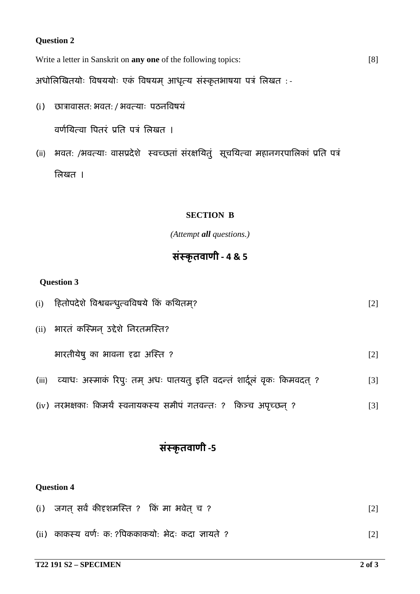#### **Question 2**

Write a letter in Sanskrit on **any one** of the following topics: [8]

अधोलिखितयोः विषययोः एकं विषयम आधृत्य संस्कृतभाषया पत्रं लिखत :-

(i) छा�ावासत: भवत: / भवत्याः पठन�वषयं

वर्णयित्वा पितरं प्रति पत्रं लिखत ।

(ii) भवतः /भवत्याः वासप्रदेशे स्वच्छतां संरक्षयितुं सूचयित्वा महानगरपालिकां प्रति पत्रं िलखत ।

### **SECTION B**

*(Attempt all questions.)*

# **संस्कृ तवाणी - 4 & 5**

### **Question 3**

| (i)   | हितोपदेशे विश्वबन्धृत्वविषये किं कथितम्?                                | $\lceil 2 \rceil$ |
|-------|-------------------------------------------------------------------------|-------------------|
|       | (ii) भारतं कस्मिन् उद्देशे निरतमस्ति?                                   |                   |
|       | भारतीयेषु का भावना दृढा अस्ति ?                                         | $\lceil 2 \rceil$ |
| (iii) | ्व्याधः अस्माकं रिपुः तम् अधः पातयत् इति वदन्तं शार्दूलं वृकः किमवदत् ? | $\lceil 3 \rceil$ |
|       | (iv) नरभक्षकाः किमर्थं स्वनायकस्य समीपं गतवन्तः ? किञ्च अपृच्छन् ?      | $\left[ 3\right]$ |

# **संस्कृ तवाणी -5**

## **Question 4**

- (i) जगत् सर्वं कीदृशमस्ति ? किं मा भवेत् च ? [2]
- (ii) काकस्य वणर्ः क: ?�पककाकयो: भेदः कदा ज्ञायते ? [2]